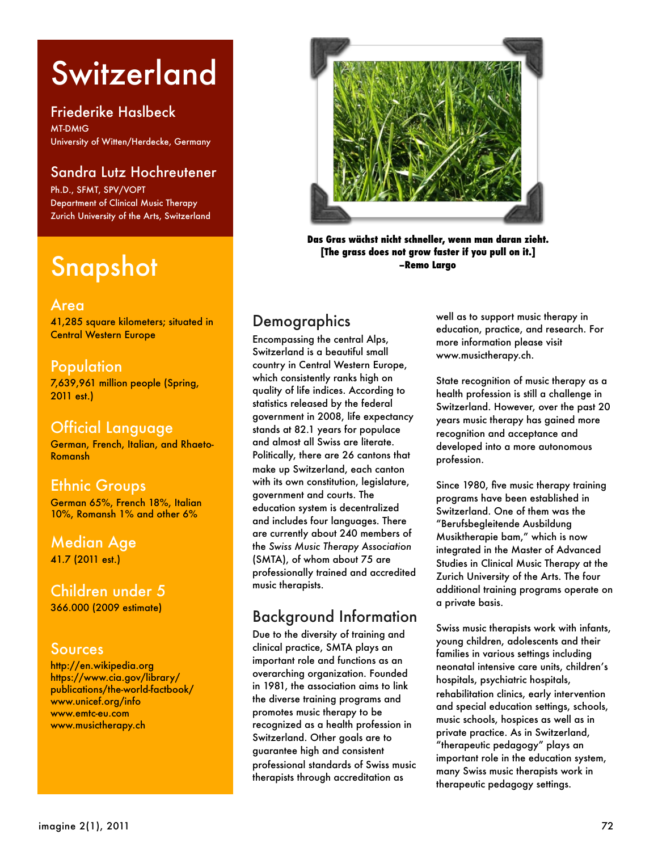# **Switzerland**

Friederike Haslbeck MT-DMtG University of Witten/Herdecke, Germany

#### Sandra Lutz Hochreutener

Ph.D., SFMT, SPV/VOPT Department of Clinical Music Therapy Zurich University of the Arts, Switzerland

## Snapshot

#### Area

41,285 square kilometers; situated in Central Western Europe

#### **Population**

7,639,961 million people (Spring, 2011 est.)

#### Official Language

German, French, Italian, and Rhaeto-[Romansh](http://en.wikipedia.org/wiki/Romansh_language)

#### Ethnic Groups

German 65%, French 18%, Italian 10%, Romansh 1% and other 6%

#### Median Age 41.7 (2011 est.)

Children under 5 366.000 (2009 estimate)

#### Sources

<http://en.wikipedia.org> [https://www.cia.gov/library/](https://www.cia.gov/library/publications/the-world-factbook/) [publications/the-world-factbook/](https://www.cia.gov/library/publications/the-world-factbook/) [www.unicef.org/info](http://www.unicef.org/info) [www.emtc-eu.com](http://www.emtc-eu.com) [www.musictherapy.ch](http://www.musictherapy.ch)



**Das Gras wächst nicht schneller, wenn man daran zieht. [The grass does not grow faster if you pull on it.] –Remo Largo** 

## **Demographics**

Encompassing the central Alps, Switzerland is a beautiful small country in Central Western Europe, which consistently ranks high on [quality of life](http://en.wikipedia.org/wiki/Quality_of_life) indices. According to statistics released by the federal government in 2008, [life expectancy](http://en.wikipedia.org/wiki/Life_expectancy) stands at 82.1 years for populace and almost all Swiss are literate. Politically, there are 26 cantons that make up Switzerland, each canton with its own [constitution,](http://en.wikipedia.org/wiki/Constitution) [legislature,](http://en.wikipedia.org/wiki/Legislature) [government](http://en.wikipedia.org/wiki/Government) and [courts.](http://en.wikipedia.org/wiki/Court) The education system is decentralized and includes four languages. There are currently about 240 members of the *Swiss Music Therapy Association* (SMTA), of whom about 75 are professionally trained and accredited music therapists.

## Background Information

Due to the diversity of training and clinical practice, SMTA plays an important role and functions as an overarching organization. Founded in 1981, the association aims to link the diverse training programs and promotes music therapy to be recognized as a health profession in Switzerland. Other goals are to guarantee high and consistent professional standards of Swiss music therapists through accreditation as

well as to support music therapy in education, practice, and research. For more information please visit [www.musictherapy.ch.](http://www.musictherapy.ch/)

State recognition of music therapy as a health profession is still a challenge in Switzerland. However, over the past 20 years music therapy has gained more recognition and acceptance and developed into a more autonomous profession.

Since 1980, five music therapy training programs have been established in Switzerland. One of them was the "Berufsbegleitende Ausbildung Musiktherapie bam," which is now integrated in the Master of Advanced Studies in Clinical Music Therapy at the Zurich University of the Arts. The four additional training programs operate on a private basis.

Swiss music therapists work with infants, young children, adolescents and their families in various settings including neonatal intensive care units, children's hospitals, psychiatric hospitals, rehabilitation clinics, early intervention and special education settings, schools, music schools, hospices as well as in private practice. As in Switzerland, "therapeutic pedagogy" plays an important role in the education system, many Swiss music therapists work in therapeutic pedagogy settings.